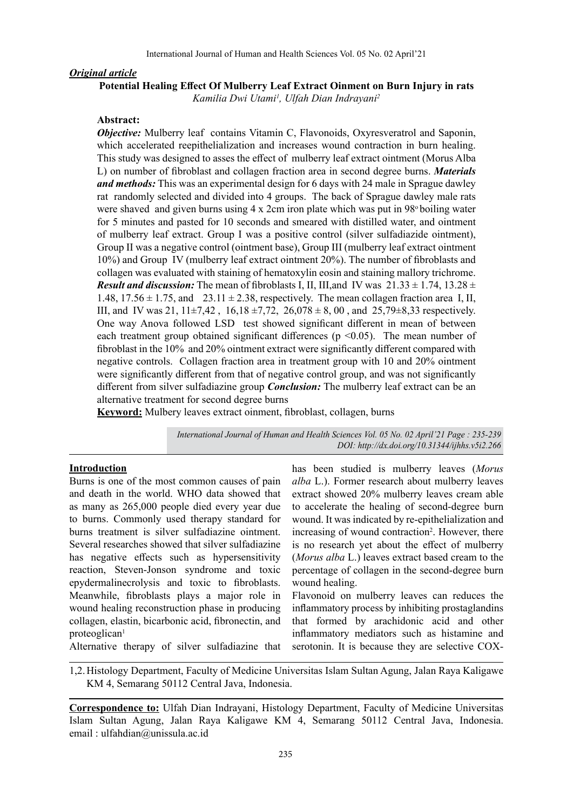#### *Original article*

**Potential Healing Effect Of Mulberry Leaf Extract Oinment on Burn Injury in rats**

*Kamilia Dwi Utami1 , Ulfah Dian Indrayani2*

#### **Abstract:**

*Objective:* Mulberry leaf contains Vitamin C, Flavonoids, Oxyresveratrol and Saponin, which accelerated reepithelialization and increases wound contraction in burn healing. This study was designed to asses the effect of mulberry leaf extract ointment (Morus Alba L) on number of fibroblast and collagen fraction area in second degree burns. *Materials and methods:* This was an experimental design for 6 days with 24 male in Sprague dawley rat randomly selected and divided into 4 groups. The back of Sprague dawley male rats were shaved and given burns using  $4 \times 2$ cm iron plate which was put in  $98^\circ$  boiling water for 5 minutes and pasted for 10 seconds and smeared with distilled water, and ointment of mulberry leaf extract. Group I was a positive control (silver sulfadiazide ointment), Group II was a negative control (ointment base), Group III (mulberry leaf extract ointment 10%) and Group IV (mulberry leaf extract ointment 20%). The number of fibroblasts and collagen was evaluated with staining of hematoxylin eosin and staining mallory trichrome. *Result and discussion:* The mean of fibroblasts I, II, III, and IV was  $21.33 \pm 1.74$ ,  $13.28 \pm 1.74$ 1.48,  $17.56 \pm 1.75$ , and  $23.11 \pm 2.38$ , respectively. The mean collagen fraction area I, II, III, and IV was 21,  $11\pm7.42$ ,  $16.18\pm7.72$ ,  $26.078\pm8.00$ , and  $25.79\pm8.33$  respectively. One way Anova followed LSD test showed significant different in mean of between each treatment group obtained significant differences ( $p \le 0.05$ ). The mean number of fibroblast in the 10% and 20% ointment extract were significantly different compared with negative controls. Collagen fraction area in treatment group with 10 and 20% ointment were significantly different from that of negative control group, and was not significantly different from silver sulfadiazine group *Conclusion:* The mulberry leaf extract can be an alternative treatment for second degree burns

**Keyword:** Mulbery leaves extract oinment, fibroblast, collagen, burns

*International Journal of Human and Health Sciences Vol. 05 No. 02 April'21 Page : 235-239 DOI: http://dx.doi.org/10.31344/ijhhs.v5i2.266*

#### **Introduction**

Burns is one of the most common causes of pain and death in the world. WHO data showed that as many as 265,000 people died every year due to burns. Commonly used therapy standard for burns treatment is silver sulfadiazine ointment. Several researches showed that silver sulfadiazine has negative effects such as hypersensitivity reaction, Steven-Jonson syndrome and toxic epydermalinecrolysis and toxic to fibroblasts. Meanwhile, fibroblasts plays a major role in wound healing reconstruction phase in producing collagen, elastin, bicarbonic acid, fibronectin, and proteoglican<sup>1</sup>

has been studied is mulberry leaves (*Morus alba* L.). Former research about mulberry leaves extract showed 20% mulberry leaves cream able to accelerate the healing of second-degree burn wound. It was indicated by re-epithelialization and increasing of wound contraction<sup>2</sup>. However, there is no research yet about the effect of mulberry (*Morus alba* L.) leaves extract based cream to the percentage of collagen in the second-degree burn wound healing.

Flavonoid on mulberry leaves can reduces the inflammatory process by inhibiting prostaglandins that formed by arachidonic acid and other inflammatory mediators such as histamine and serotonin. It is because they are selective COX-

Alternative therapy of silver sulfadiazine that

1,2.Histology Department, Faculty of Medicine Universitas Islam Sultan Agung, Jalan Raya Kaligawe KM 4, Semarang 50112 Central Java, Indonesia.

**Correspondence to:** Ulfah Dian Indrayani, Histology Department, Faculty of Medicine Universitas Islam Sultan Agung, Jalan Raya Kaligawe KM 4, Semarang 50112 Central Java, Indonesia. email : ulfahdian@unissula.ac.id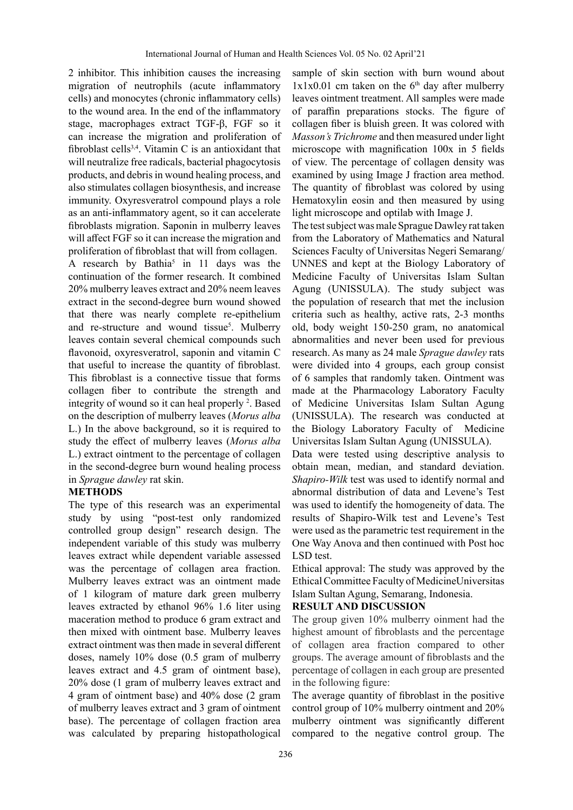2 inhibitor. This inhibition causes the increasing migration of neutrophils (acute inflammatory cells) and monocytes (chronic inflammatory cells) to the wound area. In the end of the inflammatory stage, macrophages extract TGF-β, FGF so it can increase the migration and proliferation of fibroblast cells<sup>3,4</sup>. Vitamin C is an antioxidant that will neutralize free radicals, bacterial phagocytosis products, and debris in wound healing process, and also stimulates collagen biosynthesis, and increase immunity. Oxyresveratrol compound plays a role as an anti-inflammatory agent, so it can accelerate fibroblasts migration. Saponin in mulberry leaves will affect FGF so it can increase the migration and proliferation of fibroblast that will from collagen.

A research by Bathia<sup>5</sup> in 11 days was the continuation of the former research. It combined 20% mulberry leaves extract and 20% neem leaves extract in the second-degree burn wound showed that there was nearly complete re-epithelium and re-structure and wound tissue<sup>5</sup>. Mulberry leaves contain several chemical compounds such flavonoid, oxyresveratrol, saponin and vitamin C that useful to increase the quantity of fibroblast. This fibroblast is a connective tissue that forms collagen fiber to contribute the strength and integrity of wound so it can heal properly <sup>2</sup>. Based on the description of mulberry leaves (*Morus alba*  L.) In the above background, so it is required to study the effect of mulberry leaves (*Morus alba*  L.) extract ointment to the percentage of collagen in the second-degree burn wound healing process in *Sprague dawley* rat skin.

### **METHODS**

The type of this research was an experimental study by using "post-test only randomized controlled group design" research design. The independent variable of this study was mulberry leaves extract while dependent variable assessed was the percentage of collagen area fraction. Mulberry leaves extract was an ointment made of 1 kilogram of mature dark green mulberry leaves extracted by ethanol 96% 1.6 liter using maceration method to produce 6 gram extract and then mixed with ointment base. Mulberry leaves extract ointment was then made in several different doses, namely 10% dose (0.5 gram of mulberry leaves extract and 4.5 gram of ointment base), 20% dose (1 gram of mulberry leaves extract and 4 gram of ointment base) and 40% dose (2 gram of mulberry leaves extract and 3 gram of ointment base). The percentage of collagen fraction area was calculated by preparing histopathological

sample of skin section with burn wound about  $1x1x0.01$  cm taken on the 6<sup>th</sup> day after mulberry leaves ointment treatment. All samples were made of paraffin preparations stocks. The figure of collagen fiber is bluish green. It was colored with *Masson's Trichrome* and then measured under light microscope with magnification 100x in 5 fields of view. The percentage of collagen density was examined by using Image J fraction area method. The quantity of fibroblast was colored by using Hematoxylin eosin and then measured by using light microscope and optilab with Image J.

The test subject was male Sprague Dawley rat taken from the Laboratory of Mathematics and Natural Sciences Faculty of Universitas Negeri Semarang/ UNNES and kept at the Biology Laboratory of Medicine Faculty of Universitas Islam Sultan Agung (UNISSULA). The study subject was the population of research that met the inclusion criteria such as healthy, active rats, 2-3 months old, body weight 150-250 gram, no anatomical abnormalities and never been used for previous research. As many as 24 male *Sprague dawley* rats were divided into 4 groups, each group consist of 6 samples that randomly taken. Ointment was made at the Pharmacology Laboratory Faculty of Medicine Universitas Islam Sultan Agung (UNISSULA). The research was conducted at the Biology Laboratory Faculty of Medicine Universitas Islam Sultan Agung (UNISSULA).

Data were tested using descriptive analysis to obtain mean, median, and standard deviation. *Shapiro-Wilk* test was used to identify normal and abnormal distribution of data and Levene's Test was used to identify the homogeneity of data. The results of Shapiro-Wilk test and Levene's Test were used as the parametric test requirement in the One Way Anova and then continued with Post hoc LSD test.

Ethical approval: The study was approved by the Ethical Committee Faculty of MedicineUniversitas Islam Sultan Agung, Semarang, Indonesia.

### **RESULT AND DISCUSSION**

The group given 10% mulberry oinment had the highest amount of fibroblasts and the percentage of collagen area fraction compared to other groups. The average amount of fibroblasts and the percentage of collagen in each group are presented in the following figure:

The average quantity of fibroblast in the positive control group of 10% mulberry ointment and 20% mulberry ointment was significantly different compared to the negative control group. The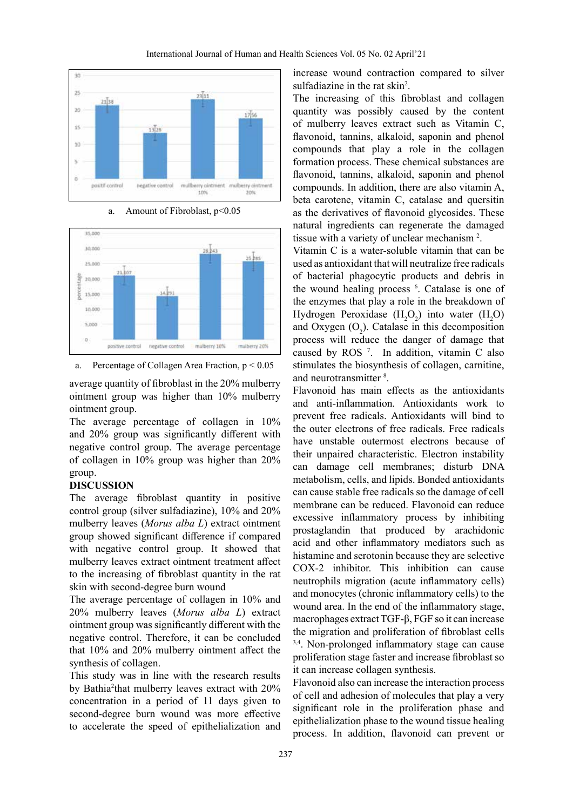







average quantity of fibroblast in the 20% mulberry ointment group was higher than 10% mulberry ointment group.

The average percentage of collagen in 10% and 20% group was significantly different with negative control group. The average percentage of collagen in 10% group was higher than 20% group.

#### **DISCUSSION**

The average fibroblast quantity in positive control group (silver sulfadiazine), 10% and 20% mulberry leaves (*Morus alba L*) extract ointment group showed significant difference if compared with negative control group. It showed that mulberry leaves extract ointment treatment affect to the increasing of fibroblast quantity in the rat skin with second-degree burn wound

The average percentage of collagen in 10% and 20% mulberry leaves (*Morus alba L*) extract ointment group was significantly different with the negative control. Therefore, it can be concluded that 10% and 20% mulberry ointment affect the synthesis of collagen.

This study was in line with the research results by Bathia<sup>2</sup>that mulberry leaves extract with 20% concentration in a period of 11 days given to second-degree burn wound was more effective to accelerate the speed of epithelialization and

increase wound contraction compared to silver sulfadiazine in the rat skin<sup>2</sup>.

The increasing of this fibroblast and collagen quantity was possibly caused by the content of mulberry leaves extract such as Vitamin C, flavonoid, tannins, alkaloid, saponin and phenol compounds that play a role in the collagen formation process. These chemical substances are flavonoid, tannins, alkaloid, saponin and phenol compounds. In addition, there are also vitamin A, beta carotene, vitamin C, catalase and quersitin as the derivatives of flavonoid glycosides. These natural ingredients can regenerate the damaged tissue with a variety of unclear mechanism<sup>2</sup>.

Vitamin C is a water-soluble vitamin that can be used as antioxidant that will neutralize free radicals of bacterial phagocytic products and debris in the wound healing process <sup>6</sup>. Catalase is one of the enzymes that play a role in the breakdown of Hydrogen Peroxidase  $(H_2O_2)$  into water  $(H_2O)$ and Oxygen  $(O_2)$ . Catalase in this decomposition process will reduce the danger of damage that caused by ROS 7 . In addition, vitamin C also stimulates the biosynthesis of collagen, carnitine, and neurotransmitter <sup>8</sup>.

Flavonoid has main effects as the antioxidants and anti-inflammation. Antioxidants work to prevent free radicals. Antioxidants will bind to the outer electrons of free radicals. Free radicals have unstable outermost electrons because of their unpaired characteristic. Electron instability can damage cell membranes; disturb DNA metabolism, cells, and lipids. Bonded antioxidants can cause stable free radicals so the damage of cell membrane can be reduced. Flavonoid can reduce excessive inflammatory process by inhibiting prostaglandin that produced by arachidonic acid and other inflammatory mediators such as histamine and serotonin because they are selective COX-2 inhibitor. This inhibition can cause neutrophils migration (acute inflammatory cells) and monocytes (chronic inflammatory cells) to the wound area. In the end of the inflammatory stage, macrophages extract TGF-β, FGF so it can increase the migration and proliferation of fibroblast cells <sup>3,4</sup>. Non-prolonged inflammatory stage can cause proliferation stage faster and increase fibroblast so it can increase collagen synthesis.

Flavonoid also can increase the interaction process of cell and adhesion of molecules that play a very significant role in the proliferation phase and epithelialization phase to the wound tissue healing process. In addition, flavonoid can prevent or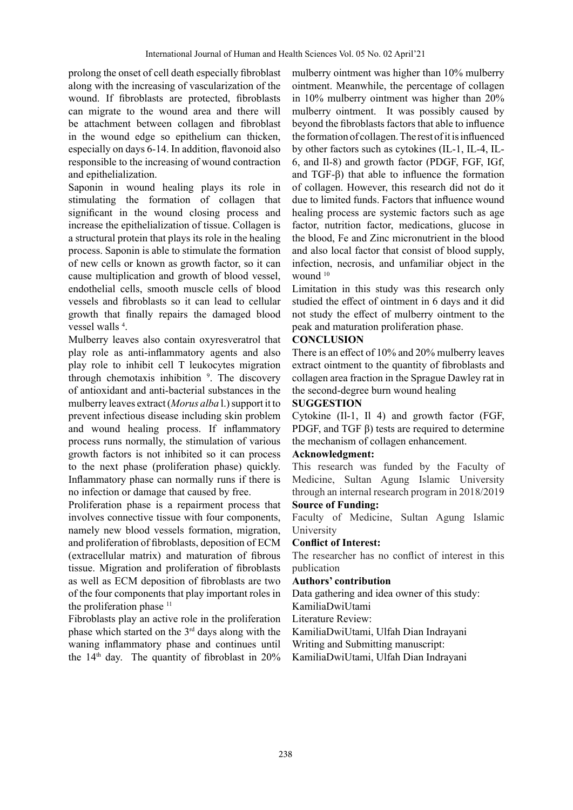prolong the onset of cell death especially fibroblast along with the increasing of vascularization of the wound. If fibroblasts are protected, fibroblasts can migrate to the wound area and there will be attachment between collagen and fibroblast in the wound edge so epithelium can thicken, especially on days 6-14. In addition, flavonoid also responsible to the increasing of wound contraction and epithelialization.

Saponin in wound healing plays its role in stimulating the formation of collagen that significant in the wound closing process and increase the epithelialization of tissue. Collagen is a structural protein that plays its role in the healing process. Saponin is able to stimulate the formation of new cells or known as growth factor, so it can cause multiplication and growth of blood vessel, endothelial cells, smooth muscle cells of blood vessels and fibroblasts so it can lead to cellular growth that finally repairs the damaged blood vessel walls 4 .

Mulberry leaves also contain oxyresveratrol that play role as anti-inflammatory agents and also play role to inhibit cell T leukocytes migration through chemotaxis inhibition <sup>9</sup>. The discovery of antioxidant and anti-bacterial substances in the mulberry leaves extract (*Morus alba* l.) support it to prevent infectious disease including skin problem and wound healing process. If inflammatory process runs normally, the stimulation of various growth factors is not inhibited so it can process to the next phase (proliferation phase) quickly. Inflammatory phase can normally runs if there is no infection or damage that caused by free.

Proliferation phase is a repairment process that involves connective tissue with four components, namely new blood vessels formation, migration, and proliferation of fibroblasts, deposition of ECM (extracellular matrix) and maturation of fibrous tissue. Migration and proliferation of fibroblasts as well as ECM deposition of fibroblasts are two of the four components that play important roles in the proliferation phase  $11$ 

Fibroblasts play an active role in the proliferation phase which started on the 3rd days along with the waning inflammatory phase and continues until the  $14<sup>th</sup>$  day. The quantity of fibroblast in  $20\%$  mulberry ointment was higher than 10% mulberry ointment. Meanwhile, the percentage of collagen in 10% mulberry ointment was higher than 20% mulberry ointment. It was possibly caused by beyond the fibroblasts factors that able to influence the formation of collagen. The rest of it is influenced by other factors such as cytokines (IL-1, IL-4, IL-6, and Il-8) and growth factor (PDGF, FGF, IGf, and TGF-β) that able to influence the formation of collagen. However, this research did not do it due to limited funds. Factors that influence wound healing process are systemic factors such as age factor, nutrition factor, medications, glucose in the blood, Fe and Zinc micronutrient in the blood and also local factor that consist of blood supply, infection, necrosis, and unfamiliar object in the wound <sup>10</sup>

Limitation in this study was this research only studied the effect of ointment in 6 days and it did not study the effect of mulberry ointment to the peak and maturation proliferation phase.

## **CONCLUSION**

There is an effect of 10% and 20% mulberry leaves extract ointment to the quantity of fibroblasts and collagen area fraction in the Sprague Dawley rat in the second-degree burn wound healing

### **SUGGESTION**

Cytokine (Il-1, Il 4) and growth factor (FGF, PDGF, and TGF β) tests are required to determine the mechanism of collagen enhancement.

### **Acknowledgment:**

This research was funded by the Faculty of Medicine, Sultan Agung Islamic University through an internal research program in 2018/2019

# **Source of Funding:**

Faculty of Medicine, Sultan Agung Islamic University

### **Conflict of Interest:**

The researcher has no conflict of interest in this publication

### **Authors' contribution**

Data gathering and idea owner of this study:

KamiliaDwiUtami

Literature Review:

KamiliaDwiUtami, Ulfah Dian Indrayani

Writing and Submitting manuscript:

KamiliaDwiUtami, Ulfah Dian Indrayani